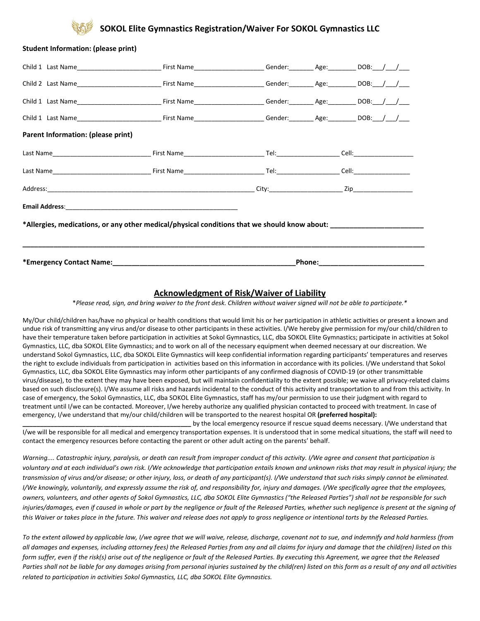## **SOKOL Elite Gymnastics Registration/Waiver For SOKOL Gymnastics LLC**

| <b>Student Information: (please print)</b> |                                                                                              |                                                                                                                |  |  |
|--------------------------------------------|----------------------------------------------------------------------------------------------|----------------------------------------------------------------------------------------------------------------|--|--|
|                                            |                                                                                              |                                                                                                                |  |  |
|                                            |                                                                                              |                                                                                                                |  |  |
|                                            |                                                                                              |                                                                                                                |  |  |
|                                            |                                                                                              |                                                                                                                |  |  |
| Parent Information: (please print)         |                                                                                              |                                                                                                                |  |  |
|                                            |                                                                                              |                                                                                                                |  |  |
|                                            |                                                                                              |                                                                                                                |  |  |
|                                            |                                                                                              |                                                                                                                |  |  |
|                                            |                                                                                              |                                                                                                                |  |  |
|                                            | *Allergies, medications, or any other medical/physical conditions that we should know about: |                                                                                                                |  |  |
|                                            |                                                                                              |                                                                                                                |  |  |
|                                            |                                                                                              | Phone: will be a series of the series of the series of the series of the series of the series of the series of |  |  |

#### **Acknowledgment of Risk/Waiver of Liability**

\**Please read, sign, and bring waiver to the front desk. Children without waiver signed will not be able to participate.\** 

My/Our child/children has/have no physical or health conditions that would limit his or her participation in athletic activities or present a known and undue risk of transmitting any virus and/or disease to other participants in these activities. I/We hereby give permission for my/our child/children to have their temperature taken before participation in activities at Sokol Gymnastics, LLC, dba SOKOL Elite Gymnastics; participate in activities at Sokol Gymnastics, LLC, dba SOKOL Elite Gymnastics; and to work on all of the necessary equipment when deemed necessary at our discreation. We understand Sokol Gymnastics, LLC, dba SOKOL Elite Gymnastics will keep confidential information regarding participants' temperatures and reserves the right to exclude individuals from participation in activities based on this information in accordance with its policies. I/We understand that Sokol Gymnastics, LLC, dba SOKOL Elite Gymnastics may inform other participants of any confirmed diagnosis of COVID-19 (or other transmittable virus/disease), to the extent they may have been exposed, but will maintain confidentiality to the extent possible; we waive all privacy-related claims based on such disclosure(s). I/We assume all risks and hazards incidental to the conduct of this activity and transportation to and from this activity. In case of emergency, the Sokol Gymnastics, LLC, dba SOKOL Elite Gymnastics, staff has my/our permission to use their judgment with regard to treatment until I/we can be contacted. Moreover, I/we hereby authorize any qualified physician contacted to proceed with treatment. In case of emergency, I/we understand that my/our child/children will be transported to the nearest hospital OR **(preferred hospital):**

**\_\_\_\_\_\_\_\_\_\_\_\_\_\_\_\_\_\_\_\_\_\_\_\_\_\_\_\_\_\_\_\_\_\_\_\_\_\_\_\_\_\_\_\_\_\_\_\_** by the local emergency resource if rescue squad deems necessary. I/We understand that I/we will be responsible for all medical and emergency transportation expenses. It is understood that in some medical situations, the staff will need to contact the emergency resources before contacting the parent or other adult acting on the parents' behalf.

*Warning.... Catastrophic injury, paralysis, or death can result from improper conduct of this activity. I/We agree and consent that participation is voluntary and at each individual's own risk. I/We acknowledge that participation entails known and unknown risks that may result in physical injury; the transmission of virus and/or disease; or other injury, loss, or death of any participant(s). I/We understand that such risks simply cannot be eliminated. I/We knowingly, voluntarily, and expressly assume the risk of, and responsibility for, injury and damages. I/We specifically agree that the employees, owners, volunteers, and other agents of Sokol Gymnastics, LLC, dba SOKOL Elite Gymnastics ("the Released Parties") shall not be responsible for such injuries/damages, even if caused in whole or part by the negligence or fault of the Released Parties, whether such negligence is present at the signing of this Waiver or takes place in the future. This waiver and release does not apply to gross negligence or intentional torts by the Released Parties.*

*To the extent allowed by applicable law, I/we agree that we will waive, release, discharge, covenant not to sue, and indemnify and hold harmless (from all damages and expenses, including attorney fees) the Released Parties from any and all claims for injury and damage that the child(ren) listed on this form suffer, even if the risk(s) arise out of the negligence or fault of the Released Parties. By executing this Agreement, we agree that the Released Parties shall not be liable for any damages arising from personal injuries sustained by the child(ren) listed on this form as a result of any and all activities related to participation in activities Sokol Gymnastics, LLC, dba SOKOL Elite Gymnastics.*